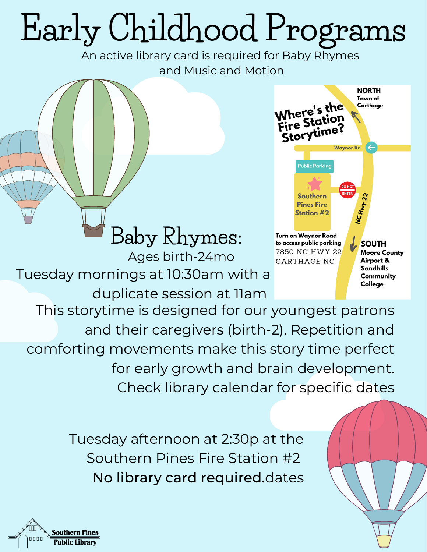## **Early Childhood Programs**

An active library card is required for Baby Rhymes and Music and Motion



Tuesday mornings at 10:30am with a duplicate session at 11am **Baby Rhymes:** Ages birth-24mo This storytime is designed for our youngest patrons and their caregivers (birth-2). Repetition and comforting movements make this story time perfect for early growth and brain development.

Check library calendar for specific dates

Tuesday afternoon at 2:30p at the Southern Pines Fire Station #2 No library card required.dates